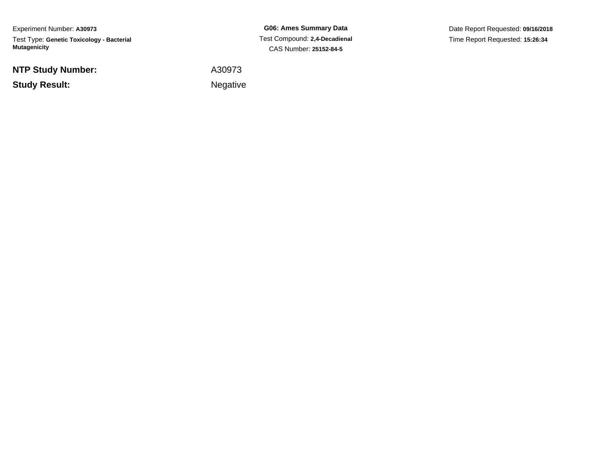Experiment Number: **A30973**Test Type: **Genetic Toxicology - Bacterial Mutagenicity**

**NTP Study Number:**

**Study Result:**

**G06: Ames Summary Data** Test Compound: **2,4-Decadienal**CAS Number: **25152-84-5**

Date Report Requested: **09/16/2018**Time Report Requested: **15:26:34**

A30973

**Example 2** is the contract of the Negative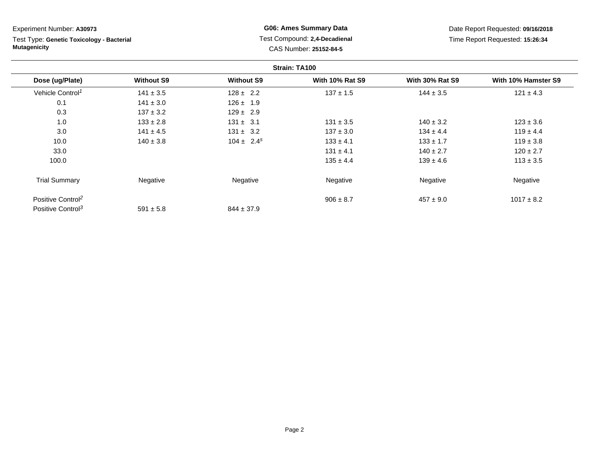Test Type: **Genetic Toxicology - Bacterial Mutagenicity**

**G06: Ames Summary Data** Test Compound: **2,4-Decadienal** CAS Number: **25152-84-5**

Date Report Requested: **09/16/2018**Time Report Requested: **15:26:34**

|                               |                   |                   | Strain: TA100          |                        |                     |
|-------------------------------|-------------------|-------------------|------------------------|------------------------|---------------------|
| Dose (ug/Plate)               | <b>Without S9</b> | <b>Without S9</b> | <b>With 10% Rat S9</b> | <b>With 30% Rat S9</b> | With 10% Hamster S9 |
| Vehicle Control <sup>1</sup>  | $141 \pm 3.5$     | $128 \pm 2.2$     | $137 \pm 1.5$          | $144 \pm 3.5$          | $121 \pm 4.3$       |
| 0.1                           | $141 \pm 3.0$     | $126 \pm 1.9$     |                        |                        |                     |
| 0.3                           | $137 \pm 3.2$     | $129 \pm 2.9$     |                        |                        |                     |
| 1.0                           | $133 \pm 2.8$     | $131 \pm 3.1$     | $131 \pm 3.5$          | $140 \pm 3.2$          | $123 \pm 3.6$       |
| 3.0                           | $141 \pm 4.5$     | $131 \pm 3.2$     | $137 \pm 3.0$          | $134 \pm 4.4$          | $119 \pm 4.4$       |
| 10.0                          | $140 \pm 3.8$     | $104 \pm 2.4^s$   | $133 \pm 4.1$          | $133 \pm 1.7$          | $119 \pm 3.8$       |
| 33.0                          |                   |                   | $131 \pm 4.1$          | $140 \pm 2.7$          | $120 \pm 2.7$       |
| 100.0                         |                   |                   | $135 \pm 4.4$          | $139 \pm 4.6$          | $113 \pm 3.5$       |
| <b>Trial Summary</b>          | Negative          | Negative          | Negative               | Negative               | Negative            |
| Positive Control <sup>2</sup> |                   |                   | $906 \pm 8.7$          | $457 \pm 9.0$          | $1017 \pm 8.2$      |
| Positive Control <sup>3</sup> | $591 \pm 5.8$     | $844 \pm 37.9$    |                        |                        |                     |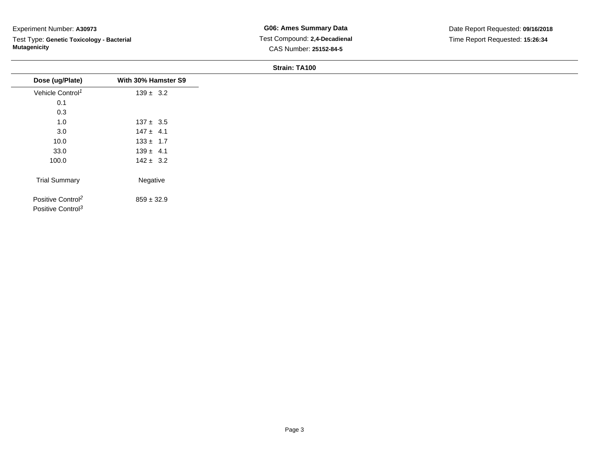Test Type: **Genetic Toxicology - Bacterial Mutagenicity**

| Dose (ug/Plate)                                                | With 30% Hamster S9 |
|----------------------------------------------------------------|---------------------|
| Vehicle Control <sup>1</sup>                                   | $139 \pm 3.2$       |
| 0.1                                                            |                     |
| 0.3                                                            |                     |
| 1.0                                                            | $137 \pm 3.5$       |
| 3.0                                                            | $147 \pm 4.1$       |
| 10.0                                                           | $133 \pm 1.7$       |
| 33.0                                                           | $139 \pm 4.1$       |
| 100.0                                                          | $142 \pm 3.2$       |
| <b>Trial Summary</b>                                           | Negative            |
| Positive Control <sup>2</sup><br>Positive Control <sup>3</sup> | $859 \pm 32.9$      |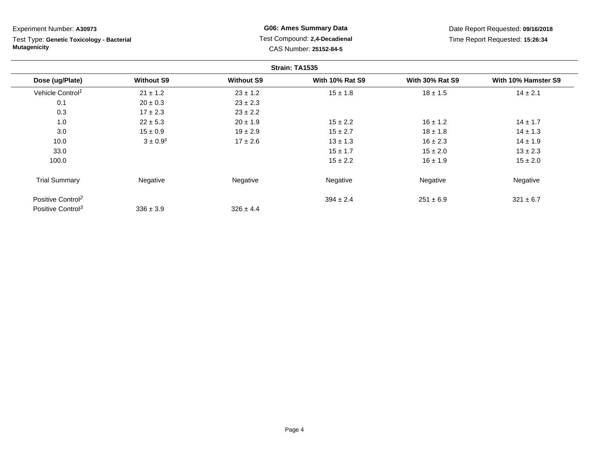Test Type: **Genetic Toxicology - Bacterial Mutagenicity**

**G06: Ames Summary Data** Test Compound: **2,4-Decadienal** CAS Number: **25152-84-5**

Date Report Requested: **09/16/2018**Time Report Requested: **15:26:34**

|                               |                   |                   | Strain: TA1535         |                        |                     |
|-------------------------------|-------------------|-------------------|------------------------|------------------------|---------------------|
| Dose (ug/Plate)               | <b>Without S9</b> | <b>Without S9</b> | <b>With 10% Rat S9</b> | <b>With 30% Rat S9</b> | With 10% Hamster S9 |
| Vehicle Control <sup>1</sup>  | $21 \pm 1.2$      | $23 \pm 1.2$      | $15 \pm 1.8$           | $18 \pm 1.5$           | $14 \pm 2.1$        |
| 0.1                           | $20 \pm 0.3$      | $23 \pm 2.3$      |                        |                        |                     |
| 0.3                           | $17 \pm 2.3$      | $23 \pm 2.2$      |                        |                        |                     |
| 1.0                           | $22 \pm 5.3$      | $20 \pm 1.9$      | $15 \pm 2.2$           | $16 \pm 1.2$           | $14 \pm 1.7$        |
| 3.0                           | $15 \pm 0.9$      | $19 \pm 2.9$      | $15 \pm 2.7$           | $18 \pm 1.8$           | $14 \pm 1.3$        |
| 10.0                          | $3 \pm 0.9^{s}$   | $17 \pm 2.6$      | $13 \pm 1.3$           | $16 \pm 2.3$           | $14 \pm 1.9$        |
| 33.0                          |                   |                   | $15 \pm 1.7$           | $15 \pm 2.0$           | $13 \pm 2.3$        |
| 100.0                         |                   |                   | $15 \pm 2.2$           | $16 \pm 1.9$           | $15 \pm 2.0$        |
| <b>Trial Summary</b>          | Negative          | Negative          | Negative               | Negative               | Negative            |
| Positive Control <sup>2</sup> |                   |                   | $394 \pm 2.4$          | $251 \pm 6.9$          | $321 \pm 6.7$       |
| Positive Control <sup>3</sup> | $336 \pm 3.9$     | $326 \pm 4.4$     |                        |                        |                     |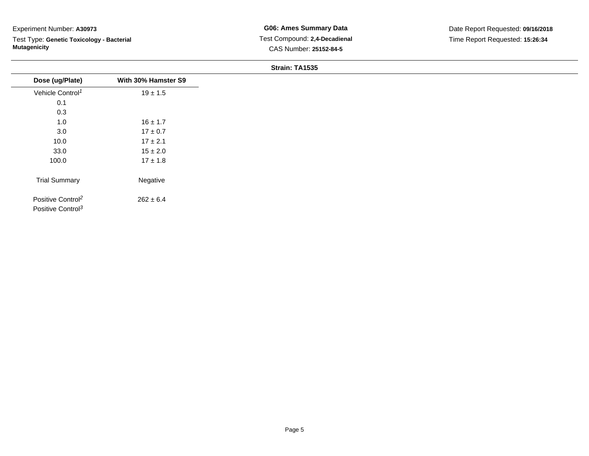Test Type: **Genetic Toxicology - Bacterial Mutagenicity**

| Dose (ug/Plate)                                                | With 30% Hamster S9 |
|----------------------------------------------------------------|---------------------|
| Vehicle Control <sup>1</sup>                                   | $19 \pm 1.5$        |
| 0.1                                                            |                     |
| 0.3                                                            |                     |
| 1.0                                                            | $16 \pm 1.7$        |
| 3.0                                                            | $17 \pm 0.7$        |
| 10.0                                                           | $17 \pm 2.1$        |
| 33.0                                                           | $15 \pm 2.0$        |
| 100.0                                                          | $17 \pm 1.8$        |
| <b>Trial Summary</b>                                           | Negative            |
| Positive Control <sup>2</sup><br>Positive Control <sup>3</sup> | $262 \pm 6.4$       |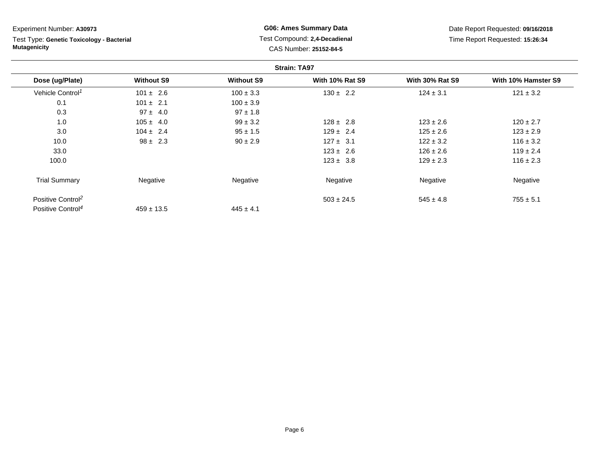| Experiment Number: A30973                                        |                   |                   | <b>G06: Ames Summary Data</b>                           |                        | Date Report Requested: 09/16/2018 |
|------------------------------------------------------------------|-------------------|-------------------|---------------------------------------------------------|------------------------|-----------------------------------|
| Test Type: Genetic Toxicology - Bacterial<br><b>Mutagenicity</b> |                   |                   | Test Compound: 2,4-Decadienal<br>CAS Number: 25152-84-5 |                        | Time Report Requested: 15:26:34   |
|                                                                  |                   |                   | <b>Strain: TA97</b>                                     |                        |                                   |
| Dose (ug/Plate)                                                  | <b>Without S9</b> | <b>Without S9</b> | <b>With 10% Rat S9</b>                                  | <b>With 30% Rat S9</b> | With 10% Hamster S9               |
| Vehicle Control <sup>1</sup>                                     | $101 \pm 2.6$     | $100 \pm 3.3$     | $130 \pm 2.2$                                           | $124 \pm 3.1$          | $121 \pm 3.2$                     |
| 0.1                                                              | $101 \pm 2.1$     | $100 \pm 3.9$     |                                                         |                        |                                   |
| 0.3                                                              | $97 \pm 4.0$      | $97 \pm 1.8$      |                                                         |                        |                                   |
| 1.0                                                              | $105 \pm 4.0$     | $99 \pm 3.2$      | $128 \pm 2.8$                                           | $123 \pm 2.6$          | $120 \pm 2.7$                     |
| 3.0                                                              | $104 \pm 2.4$     | $95 \pm 1.5$      | $129 \pm 2.4$                                           | $125 \pm 2.6$          | $123 \pm 2.9$                     |
| 10.0                                                             | $98 \pm 2.3$      | $90 \pm 2.9$      | $127 \pm 3.1$                                           | $122 \pm 3.2$          | $116 \pm 3.2$                     |
| 33.0                                                             |                   |                   | $123 \pm 2.6$                                           | $126 \pm 2.6$          | $119 \pm 2.4$                     |
| 100.0                                                            |                   |                   | $123 \pm 3.8$                                           | $129 \pm 2.3$          | $116 \pm 2.3$                     |
| <b>Trial Summary</b>                                             | Negative          | Negative          | Negative                                                | Negative               | Negative                          |
| Positive Control <sup>2</sup>                                    |                   |                   | $503 \pm 24.5$                                          | $545 \pm 4.8$          | $755 \pm 5.1$                     |
| Positive Control <sup>4</sup>                                    | $459 \pm 13.5$    | $445 \pm 4.1$     |                                                         |                        |                                   |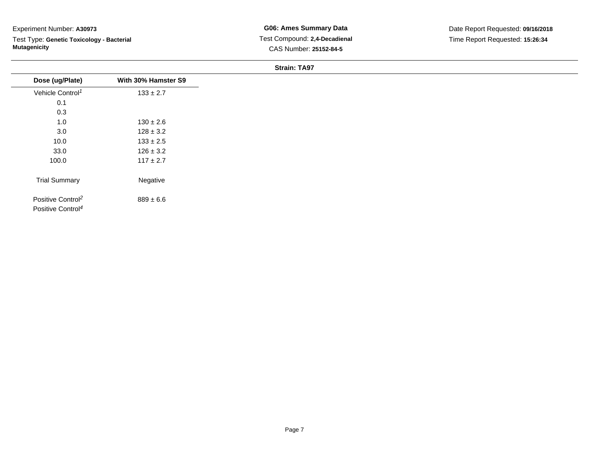Test Type: **Genetic Toxicology - Bacterial Mutagenicity**

| Dose (ug/Plate)                                                | With 30% Hamster S9 |
|----------------------------------------------------------------|---------------------|
| Vehicle Control <sup>1</sup>                                   | $133 \pm 2.7$       |
| 0.1                                                            |                     |
| 0.3                                                            |                     |
| 1.0                                                            | $130 \pm 2.6$       |
| 3.0                                                            | $128 \pm 3.2$       |
| 10.0                                                           | $133 \pm 2.5$       |
| 33.0                                                           | $126 \pm 3.2$       |
| 100.0                                                          | $117 \pm 2.7$       |
| <b>Trial Summary</b>                                           | Negative            |
| Positive Control <sup>2</sup><br>Positive Control <sup>4</sup> | $889 \pm 6.6$       |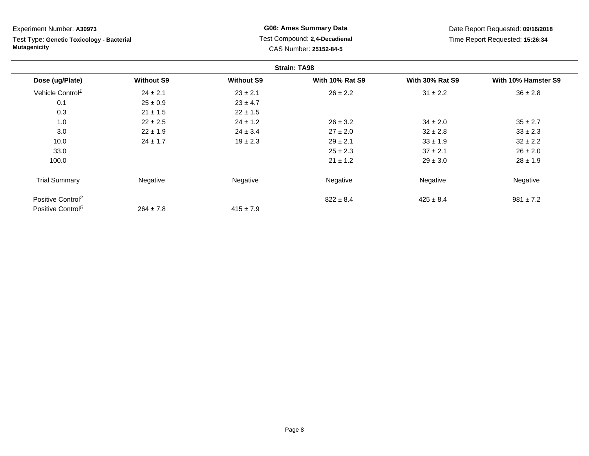**Strain: TA98Dose (ug/Plate) Without S9 Without S9 With 10% Rat S9 With 30% Rat S9 With 10% Hamster S9** Vehicle Control<sup>1</sup>  $24 \pm 2.1$ 1  $23 \pm 2.1$   $26 \pm 2.2$   $31 \pm 2.2$   $36 \pm 2.8$ 0.11  $25 \pm 0.9$   $23 \pm 4.7$ 0.33 21 ± 1.5 22 ± 1.5 1.00 22 ± 2.5 24 ± 1.2 26 ± 3.2 34 ± 2.0 35 ± 2.7 3.00 22 ± 1.9 24 ± 3.4 27 ± 2.0 32 ± 2.8 33 ± 2.3 10.00  $24 \pm 1.7$   $19 \pm 2.3$   $29 \pm 2.1$   $33 \pm 1.9$   $32 \pm 2.2$ 33.00  $25 \pm 2.3$   $37 \pm 2.1$   $26 \pm 2.0$ 100.00  $21 \pm 1.2$   $29 \pm 3.0$   $28 \pm 1.9$ Trial Summary Negative Negative Negative Negative Negative Positive Control<sup>2</sup>  $822 \pm 8.4$  $425 \pm 8.4$  981  $\pm 7.2$ Experiment Number: **A30973**Test Type: **Genetic Toxicology - BacterialMutagenicityG06: Ames Summary Data** Test Compound: **2,4-Decadienal**CAS Number: **25152-84-5**Date Report Requested: **09/16/2018**Time Report Requested: **15:26:34**

 $415 \pm 7.9$ 

Positive Control<sup>5</sup>

 $264 \pm 7.8$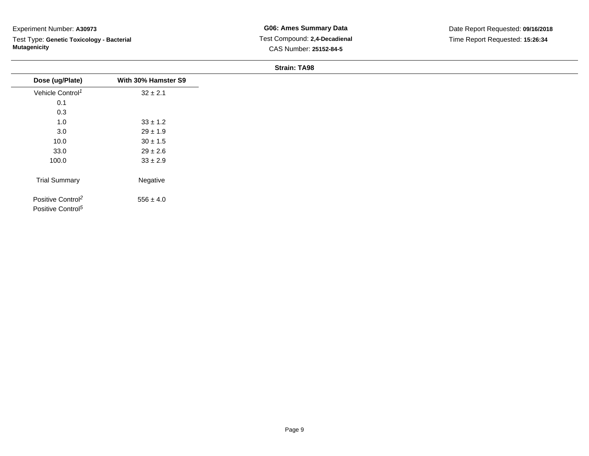Test Type: **Genetic Toxicology - Bacterial Mutagenicity**

| Dose (ug/Plate)                                                | With 30% Hamster S9 |
|----------------------------------------------------------------|---------------------|
| Vehicle Control <sup>1</sup>                                   | $32 \pm 2.1$        |
| 0.1                                                            |                     |
| 0.3                                                            |                     |
| 1.0                                                            | $33 \pm 1.2$        |
| 3.0                                                            | $29 \pm 1.9$        |
| 10.0                                                           | $30 \pm 1.5$        |
| 33.0                                                           | $29 \pm 2.6$        |
| 100.0                                                          | $33 \pm 2.9$        |
| <b>Trial Summary</b>                                           | Negative            |
| Positive Control <sup>2</sup><br>Positive Control <sup>5</sup> | $556 \pm 4.0$       |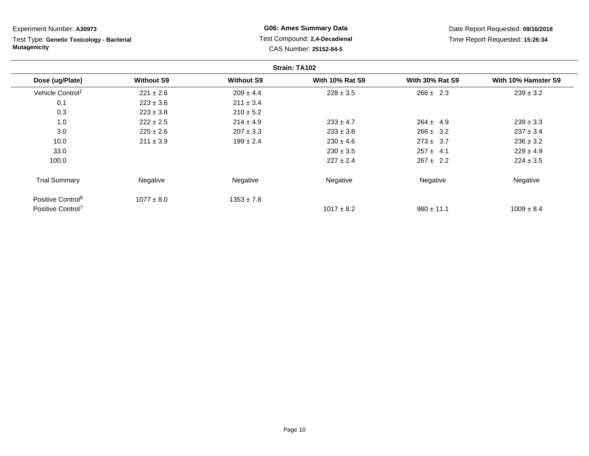**Strain: TA102Dose (ug/Plate) Without S9 Without S9 With 10% Rat S9 With 30% Rat S9 With 10% Hamster S9** Vehicle Control<sup>1</sup>  $221 \pm 2.6$ 6 209 ± 4.4 228 ± 3.5 266 ± 2.3 239 ± 3.2 0.11  $223 \pm 3.6$  211  $\pm 3.4$ 0.33 223 ± 3.8 210 ± 5.2 1.00 222 ± 2.5 214 ± 4.9 233 ± 4.7 264 ± 4.9 239 ± 3.3 3.00 225 ± 2.6 207 ± 3.3 233 ± 3.8 266 ± 3.2 237 ± 3.4 10.00 211 ± 3.9 199 ± 2.4 230 ± 4.6 273 ± 3.7 236 ± 3.2 33.0 $230 \pm 3.5$  257 ± 4.1 229 ± 4.9 100.00  $227 \pm 2.4$   $267 \pm 2.2$   $224 \pm 3.5$ Trial Summary Negative Negative Negative Negative Negative Positive Control<sup>6</sup>  $1077 \pm 8.0$  $1353 \pm 7.8$ Positive Control<sup>7</sup>  $1017 \pm 8.2$  $980 \pm 11.1$  1009  $\pm 8.4$ Experiment Number: **A30973**Test Type: **Genetic Toxicology - BacterialMutagenicityG06: Ames Summary Data** Test Compound: **2,4-Decadienal**CAS Number: **25152-84-5**Date Report Requested: **09/16/2018**Time Report Requested: **15:26:34**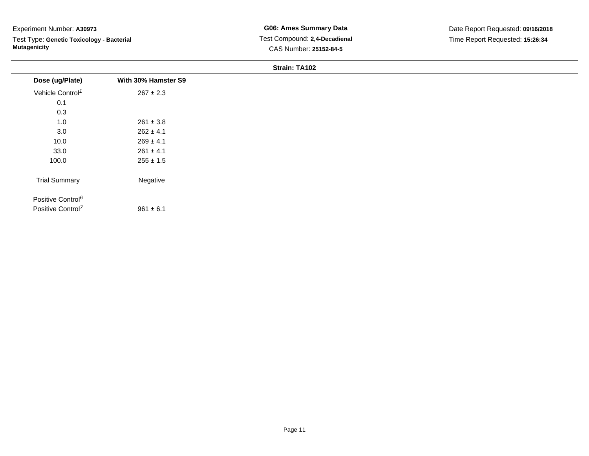Test Type: **Genetic Toxicology - Bacterial Mutagenicity**

| Dose (ug/Plate)               | With 30% Hamster S9 |
|-------------------------------|---------------------|
| Vehicle Control <sup>1</sup>  | $267 \pm 2.3$       |
| 0.1                           |                     |
| 0.3                           |                     |
| 1.0                           | $261 \pm 3.8$       |
| 3.0                           | $262 \pm 4.1$       |
| 10.0                          | $269 \pm 4.1$       |
| 33.0                          | $261 \pm 4.1$       |
| 100.0                         | $255 \pm 1.5$       |
| <b>Trial Summary</b>          | Negative            |
| Positive Control <sup>6</sup> |                     |
| Positive Control <sup>7</sup> | $961 \pm 6.1$       |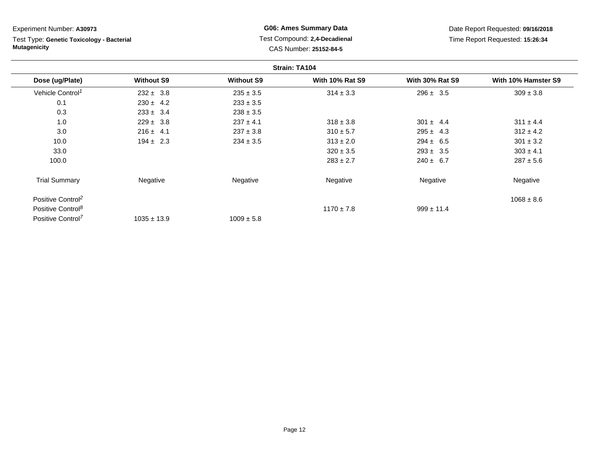Experiment Number: **A30973**Test Type: **Genetic Toxicology - Bacterial Mutagenicity**

**G06: Ames Summary Data** Test Compound: **2,4-Decadienal** CAS Number: **25152-84-5**

Date Report Requested: **09/16/2018**Time Report Requested: **15:26:34**

|                               |                   |                   | <b>Strain: TA104</b>   |                        |                     |
|-------------------------------|-------------------|-------------------|------------------------|------------------------|---------------------|
| Dose (ug/Plate)               | <b>Without S9</b> | <b>Without S9</b> | <b>With 10% Rat S9</b> | <b>With 30% Rat S9</b> | With 10% Hamster S9 |
| Vehicle Control <sup>1</sup>  | $232 \pm 3.8$     | $235 \pm 3.5$     | $314 \pm 3.3$          | $296 \pm 3.5$          | $309 \pm 3.8$       |
| 0.1                           | $230 \pm 4.2$     | $233 \pm 3.5$     |                        |                        |                     |
| 0.3                           | $233 \pm 3.4$     | $238 \pm 3.5$     |                        |                        |                     |
| 1.0                           | $229 \pm 3.8$     | $237 \pm 4.1$     | $318 \pm 3.8$          | $301 \pm 4.4$          | $311 \pm 4.4$       |
| 3.0                           | $216 \pm 4.1$     | $237 \pm 3.8$     | $310 \pm 5.7$          | $295 \pm 4.3$          | $312 \pm 4.2$       |
| 10.0                          | $194 \pm 2.3$     | $234 \pm 3.5$     | $313 \pm 2.0$          | $294 \pm 6.5$          | $301 \pm 3.2$       |
| 33.0                          |                   |                   | $320 \pm 3.5$          | $293 \pm 3.5$          | $303 \pm 4.1$       |
| 100.0                         |                   |                   | $283 \pm 2.7$          | $240 \pm 6.7$          | $287 \pm 5.6$       |
| <b>Trial Summary</b>          | Negative          | Negative          | Negative               | Negative               | Negative            |
| Positive Control <sup>2</sup> |                   |                   |                        |                        | $1068 \pm 8.6$      |
| Positive Control <sup>8</sup> |                   |                   | $1170 \pm 7.8$         | $999 \pm 11.4$         |                     |
| Positive Control <sup>7</sup> | $1035 \pm 13.9$   | $1009 \pm 5.8$    |                        |                        |                     |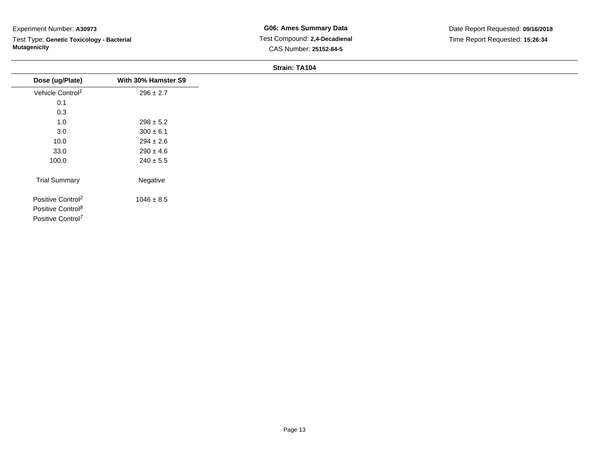Test Type: **Genetic Toxicology - Bacterial Mutagenicity**

| Dose (ug/Plate)                                                                                 | With 30% Hamster S9 |
|-------------------------------------------------------------------------------------------------|---------------------|
| Vehicle Control <sup>1</sup>                                                                    | $296 \pm 2.7$       |
| 0.1                                                                                             |                     |
| 0.3                                                                                             |                     |
| 1.0                                                                                             | $298 \pm 5.2$       |
| 3.0                                                                                             | $300 \pm 6.1$       |
| 10.0                                                                                            | $294 \pm 2.6$       |
| 33.0                                                                                            | $290 \pm 4.6$       |
| 100.0                                                                                           | $240 \pm 5.5$       |
| <b>Trial Summary</b>                                                                            | Negative            |
| Positive Control <sup>2</sup><br>Positive Control <sup>8</sup><br>Positive Control <sup>7</sup> | $1046 \pm 8.5$      |